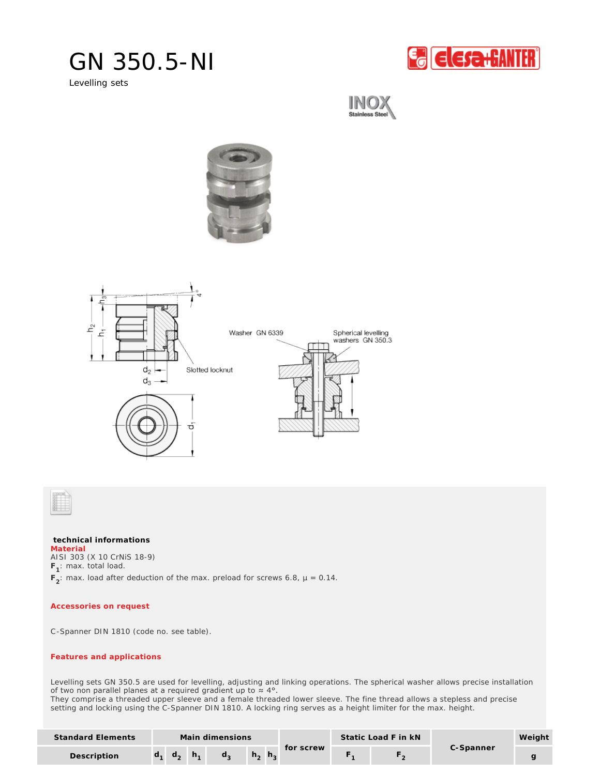## GN 350.5-NI

Levelling sets







**technical informations** AISI 303 (X 10 CrNiS 18-9) **F<sup>1</sup>** : max. total load.  $F_2$ : max. load after deduction of the max. preload for screws 6.8,  $\mu$  = 0.14. **Material**

*Accessories on request*

C-Spanner DIN 1810 (code no. see table).

## *Features and applications*

Levelling sets GN 350.5 are used for levelling, adjusting and linking operations. The spherical washer allows precise installation of two non parallel planes at a required gradient up to  $\approx 4^{\circ}$ .

They comprise a threaded upper sleeve and a female threaded lower sleeve. The fine thread allows a stepless and precise setting and locking using the C-Spanner DIN 1810. A locking ring serves as a height limiter for the max. height.

| Standard Elements | Main dimensions |              |    |    |              |              |           | Static Load F in kN |  |           | Weight |
|-------------------|-----------------|--------------|----|----|--------------|--------------|-----------|---------------------|--|-----------|--------|
| Description       |                 | $d_{\alpha}$ | h. | d. | $h_{\alpha}$ | $n_{\alpha}$ | for screw |                     |  | C-Spanner |        |